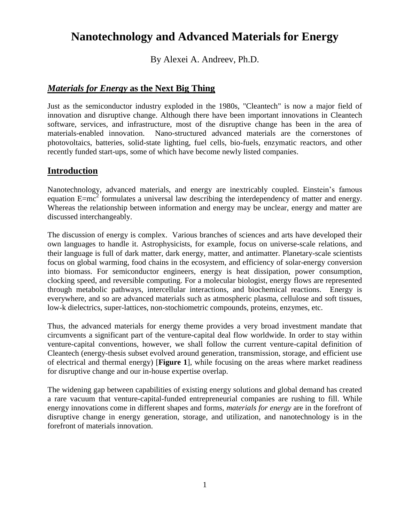# **Nanotechnology and Advanced Materials for Energy**

By Alexei A. Andreev, Ph.D.

## *Materials for Energy* **as the Next Big Thing**

Just as the semiconductor industry exploded in the 1980s, "Cleantech" is now a major field of innovation and disruptive change. Although there have been important innovations in Cleantech software, services, and infrastructure, most of the disruptive change has been in the area of materials-enabled innovation. Nano-structured advanced materials are the cornerstones of photovoltaics, batteries, solid-state lighting, fuel cells, bio-fuels, enzymatic reactors, and other recently funded start-ups, some of which have become newly listed companies.

### **Introduction**

Nanotechnology, advanced materials, and energy are inextricably coupled. Einstein's famous equation  $E=mc^2$  formulates a universal law describing the interdependency of matter and energy. Whereas the relationship between information and energy may be unclear, energy and matter are discussed interchangeably.

The discussion of energy is complex. Various branches of sciences and arts have developed their own languages to handle it. Astrophysicists, for example, focus on universe-scale relations, and their language is full of dark matter, dark energy, matter, and antimatter. Planetary-scale scientists focus on global warming, food chains in the ecosystem, and efficiency of solar-energy conversion into biomass. For semiconductor engineers, energy is heat dissipation, power consumption, clocking speed, and reversible computing. For a molecular biologist, energy flows are represented through metabolic pathways, intercellular interactions, and biochemical reactions. Energy is everywhere, and so are advanced materials such as atmospheric plasma, cellulose and soft tissues, low-k dielectrics, super-lattices, non-stochiometric compounds, proteins, enzymes, etc.

Thus, the advanced materials for energy theme provides a very broad investment mandate that circumvents a significant part of the venture-capital deal flow worldwide. In order to stay within venture-capital conventions, however, we shall follow the current venture-capital definition of Cleantech (energy-thesis subset evolved around generation, transmission, storage, and efficient use of electrical and thermal energy) [**Figure 1**], while focusing on the areas where market readiness for disruptive change and our in-house expertise overlap.

The widening gap between capabilities of existing energy solutions and global demand has created a rare vacuum that venture-capital-funded entrepreneurial companies are rushing to fill. While energy innovations come in different shapes and forms, *materials for energy* are in the forefront of disruptive change in energy generation, storage, and utilization, and nanotechnology is in the forefront of materials innovation.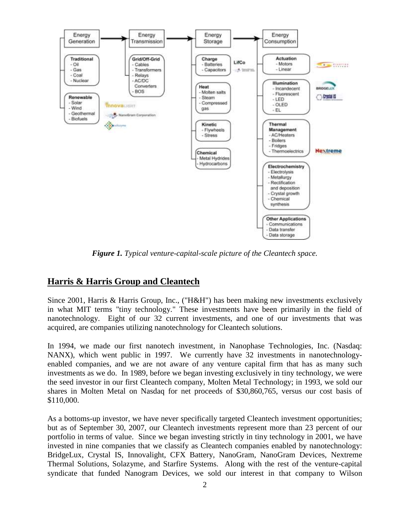

*Figure 1. Typical venture-capital-scale picture of the Cleantech space.*

#### **Harris & Harris Group and Cleantech**

Since 2001, Harris & Harris Group, Inc., ("H&H") has been making new investments exclusively in what MIT terms "tiny technology." These investments have been primarily in the field of nanotechnology. Eight of our 32 current investments, and one of our investments that was acquired, are companies utilizing nanotechnology for Cleantech solutions.

In 1994, we made our first nanotech investment, in Nanophase Technologies, Inc. (Nasdaq: NANX), which went public in 1997. We currently have 32 investments in nanotechnologyenabled companies, and we are not aware of any venture capital firm that has as many such investments as we do. In 1989, before we began investing exclusively in tiny technology, we were the seed investor in our first Cleantech company, Molten Metal Technology; in 1993, we sold our shares in Molten Metal on Nasdaq for net proceeds of \$30,860,765, versus our cost basis of \$110,000.

As a bottoms-up investor, we have never specifically targeted Cleantech investment opportunities; but as of September 30, 2007, our Cleantech investments represent more than 23 percent of our portfolio in terms of value. Since we began investing strictly in tiny technology in 2001, we have invested in nine companies that we classify as Cleantech companies enabled by nanotechnology: BridgeLux, Crystal IS, Innovalight, CFX Battery, NanoGram, NanoGram Devices, Nextreme Thermal Solutions, Solazyme, and Starfire Systems. Along with the rest of the venture-capital syndicate that funded Nanogram Devices, we sold our interest in that company to Wilson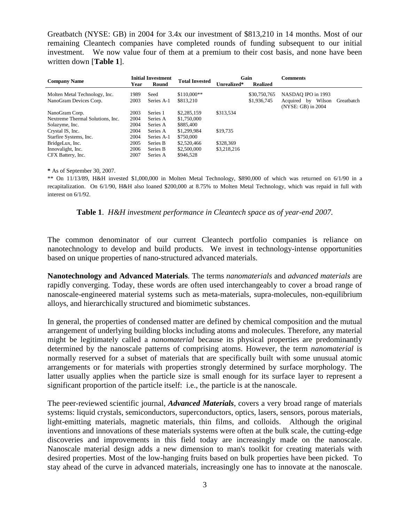Greatbatch (NYSE: GB) in 2004 for 3.4x our investment of \$813,210 in 14 months. Most of our remaining Cleantech companies have completed rounds of funding subsequent to our initial investment. We now value four of them at a premium to their cost basis, and none have been written down [**Table 1**].

| <b>Company Name</b>                                     | <b>Initial Investment</b> |                    | <b>Total Invested</b>     | Gain        |                             | <b>Comments</b>                                                                 |
|---------------------------------------------------------|---------------------------|--------------------|---------------------------|-------------|-----------------------------|---------------------------------------------------------------------------------|
|                                                         | Year                      | Round              |                           | Unrealized* | <b>Realized</b>             |                                                                                 |
| Molten Metal Technology, Inc.<br>NanoGram Devices Corp. | 1989<br>2003              | Seed<br>Series A-1 | $$110,000**$<br>\$813,210 |             | \$30,750,765<br>\$1,936,745 | NASDAO IPO in 1993<br>Wilson<br>Greatbatch<br>Acquired by<br>(NYSE: GB) in 2004 |
| NanoGram Corp.                                          | 2003                      | Series 1           | \$2,285,159               | \$313,534   |                             |                                                                                 |
| Nextreme Thermal Solutions, Inc.                        | 2004                      | Series A           | \$1,750,000               |             |                             |                                                                                 |
| Solazyme, Inc.                                          | 2004                      | Series A           | \$885,400                 |             |                             |                                                                                 |
| Crystal IS, Inc.                                        | 2004                      | Series A           | \$1,299,984               | \$19,735    |                             |                                                                                 |
| Starfire Systems, Inc.                                  | 2004                      | Series A-1         | \$750,000                 |             |                             |                                                                                 |
| BridgeLux, Inc.                                         | 2005                      | Series B           | \$2,520,466               | \$328,369   |                             |                                                                                 |
| Innovalight, Inc.                                       | 2006                      | Series B           | \$2,500,000               | \$3,218,216 |                             |                                                                                 |
| CFX Battery, Inc.                                       | 2007                      | Series A           | \$946,528                 |             |                             |                                                                                 |

**\*** As of September 30, 2007.

\*\* On 11/13/89, H&H invested \$1,000,000 in Molten Metal Technology, \$890,000 of which was returned on 6/1/90 in a recapitalization. On 6/1/90, H&H also loaned \$200,000 at 8.75% to Molten Metal Technology, which was repaid in full with interest on 6/1/92.

**Table 1**. *H&H investment performance in Cleantech space as of year-end 2007.*

The common denominator of our current Cleantech portfolio companies is reliance on nanotechnology to develop and build products. We invest in technology-intense opportunities based on unique properties of nano-structured advanced materials.

**Nanotechnology and Advanced Materials**. The terms *nanomaterials* and *advanced materials* are rapidly converging. Today, these words are often used interchangeably to cover a broad range of nanoscale-engineered material systems such as meta-materials, supra-molecules, non-equilibrium alloys, and hierarchically structured and biomimetic substances.

In general, the properties of condensed matter are defined by chemical composition and the mutual arrangement of underlying building blocks including atoms and molecules. Therefore, any material might be legitimately called a *nanomaterial* because its physical properties are predominantly determined by the nanoscale patterns of comprising atoms. However, the term *nanomaterial* is normally reserved for a subset of materials that are specifically built with some unusual atomic arrangements or for materials with properties strongly determined by surface morphology. The latter usually applies when the particle size is small enough for its surface layer to represent a significant proportion of the particle itself: i.e., the particle is at the nanoscale.

The peer-reviewed scientific journal, *Advanced Materials*, covers a very broad range of materials systems: liquid crystals, semiconductors, superconductors, optics, lasers, sensors, porous materials, light-emitting materials, magnetic materials, thin films, and colloids. Although the original inventions and innovations of these materials systems were often at the bulk scale, the cutting-edge discoveries and improvements in this field today are increasingly made on the nanoscale. Nanoscale material design adds a new dimension to man's toolkit for creating materials with desired properties. Most of the low-hanging fruits based on bulk properties have been picked. To stay ahead of the curve in advanced materials, increasingly one has to innovate at the nanoscale.